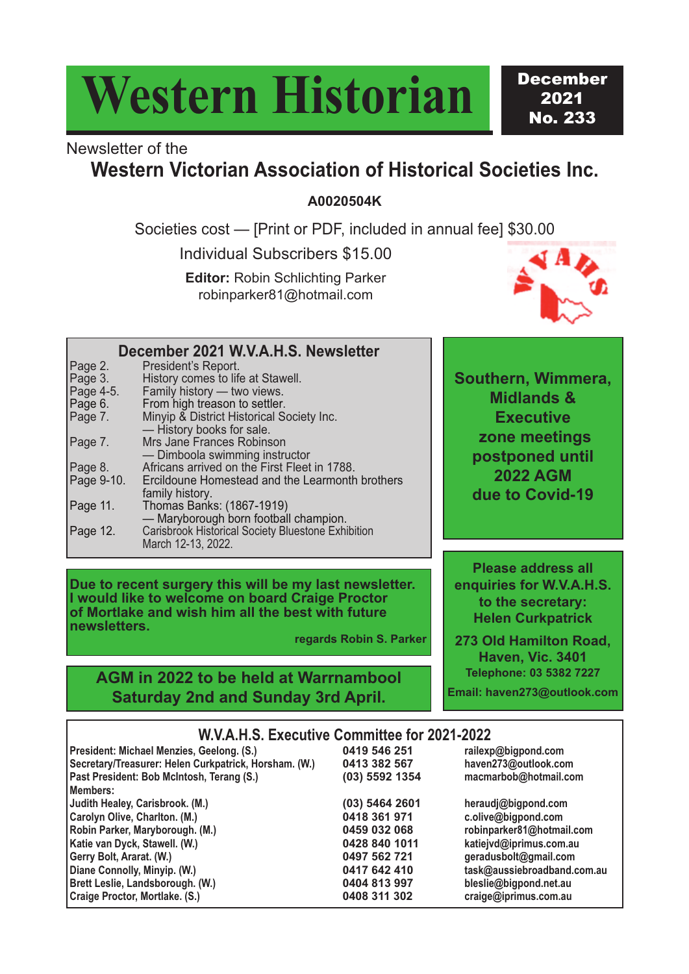# **Western Historian**

December 2021 No. 233

### Newsletter of the

#### **Western Victorian Association of Historical Societies Inc.**

**A0020504K**

Societies cost — [Print or PDF, included in annual fee] \$30.00

Individual Subscribers \$15.00

**Editor:** Robin Schlichting Parker robinparker81@hotmail.com



era.

**enquiries for W.V.A.H.S. to the secretary: Helen Curkpatrick 273 Old Hamilton Road, Haven, Vic. 3401 Telephone: 03 5382 7227 Email: haven273@outlook.com**

|                                                                  | December 2021 W.V.A.H.S. Newsletter                                                                                                                                                                                                                               |                                                                                       |
|------------------------------------------------------------------|-------------------------------------------------------------------------------------------------------------------------------------------------------------------------------------------------------------------------------------------------------------------|---------------------------------------------------------------------------------------|
| Page 2.<br>Page 3.<br>Page 4-5.<br>Page 6.<br>Page 7.<br>Page 7. | President's Report.<br>History comes to life at Stawell.<br>Family history - two views.<br>From high treason to settler.<br>Minyip & District Historical Society Inc.<br>- History books for sale.<br>Mrs Jane Frances Robinson<br>- Dimboola swimming instructor | <b>Southern, Wimmer</b><br><b>Midlands &amp;</b><br><b>Executive</b><br>zone meetings |
| Page 8.<br>Page 9-10.                                            | Africans arrived on the First Fleet in 1788.<br>Ercildoune Homestead and the Learmonth brothers<br>family history.                                                                                                                                                | postponed until<br><b>2022 AGM</b><br>due to Covid-19                                 |
| Page 11.<br>Page 12.                                             | Thomas Banks: (1867-1919)<br>- Maryborough born football champion.<br><b>Carisbrook Historical Society Bluestone Exhibition</b>                                                                                                                                   |                                                                                       |
|                                                                  | March 12-13, 2022.                                                                                                                                                                                                                                                | <b>Please address all</b>                                                             |
|                                                                  |                                                                                                                                                                                                                                                                   |                                                                                       |

**Due to recent surgery this will be my last newsletter. I would like to welcome on board Craige Proctor of Mortlake and wish him all the best with future newsletters.**

**regards Robin S. Parker**

#### **AGM in 2022 to be held at Warrnambool Saturday 2nd and Sunday 3rd April.**

**W.V.A.H.S. Executive Committee for 2021-2022**

| President: Michael Menzies, Geelong. (S.)             | 0419 546 251   | railexp@bigpond.com         |
|-------------------------------------------------------|----------------|-----------------------------|
| Secretary/Treasurer: Helen Curkpatrick, Horsham. (W.) | 0413 382 567   | haven273@outlook.com        |
| Past President: Bob McIntosh, Terang (S.)             | (03) 5592 1354 | macmarbob@hotmail.com       |
| Members:                                              |                |                             |
| Judith Healey, Carisbrook. (M.)                       | (03) 5464 2601 | heraudj@bigpond.com         |
| Carolyn Olive, Charlton. (M.)                         | 0418 361 971   | c.olive@bigpond.com         |
| Robin Parker, Maryborough. (M.)                       | 0459 032 068   | robinparker81@hotmail.com   |
| Katie van Dyck, Stawell. (W.)                         | 0428 840 1011  | katiejvd@iprimus.com.au     |
| Gerry Bolt, Ararat. (W.)                              | 0497 562 721   | geradusbolt@gmail.com       |
| Diane Connolly, Minyip. (W.)                          | 0417 642 410   | task@aussiebroadband.com.au |
| <b>Brett Leslie, Landsborough. (W.)</b>               | 0404 813 997   | bleslie@bigpond.net.au      |
| Craige Proctor, Mortlake. (S.)                        | 0408 311 302   | craige@iprimus.com.au       |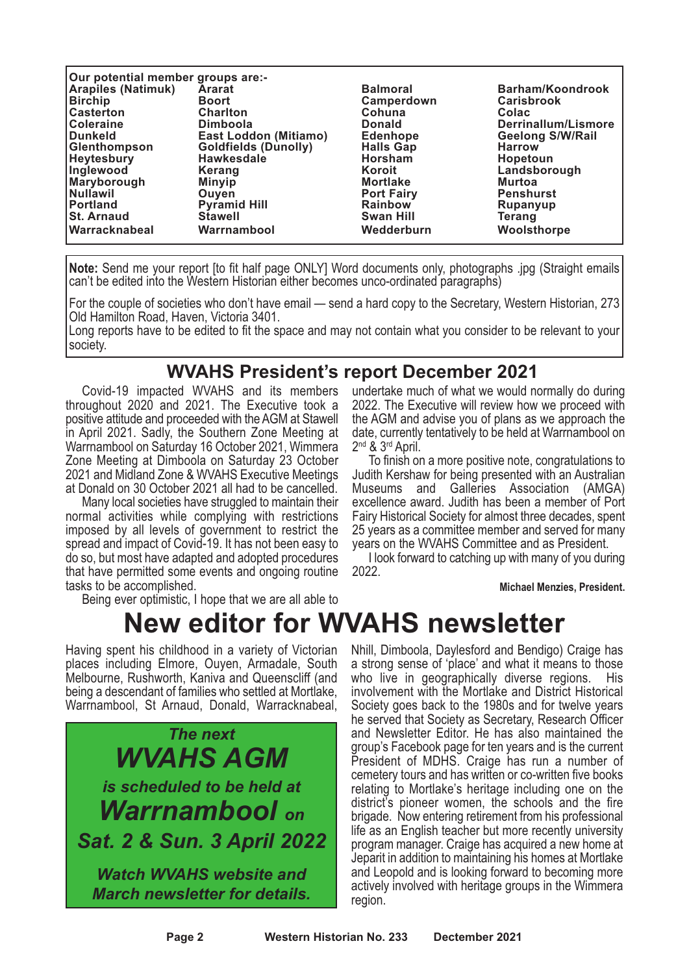| Our potential member groups are:- |                              |                   |                         |  |  |  |  |
|-----------------------------------|------------------------------|-------------------|-------------------------|--|--|--|--|
| <b>Arapiles (Natimuk)</b>         | <b>Ararat</b>                | <b>Balmoral</b>   | Barham/Koondrook        |  |  |  |  |
| <b>Birchip</b>                    | <b>Boort</b>                 | Camperdown        | <b>Carisbrook</b>       |  |  |  |  |
| <b>Casterton</b>                  | <b>Charlton</b>              | Cohuna            | Colac                   |  |  |  |  |
| <b>Coleraine</b>                  | <b>Dimboola</b>              | <b>Donald</b>     | Derrinallum/Lismore     |  |  |  |  |
| <b>Dunkeld</b>                    | <b>East Loddon (Mitiamo)</b> | <b>Edenhope</b>   | <b>Geelong S/W/Rail</b> |  |  |  |  |
| Glenthompson                      | <b>Goldfields (Dunolly)</b>  | <b>Halls Gap</b>  | <b>Harrow</b>           |  |  |  |  |
| <b>Heytesbury</b>                 | <b>Hawkesdale</b>            | <b>Horsham</b>    | <b>Hopetoun</b>         |  |  |  |  |
| Inglewood                         | Kerang                       | Koroit            | Landsborough            |  |  |  |  |
| Maryborough                       | <b>Minyip</b>                | <b>Mortlake</b>   | <b>Murtoa</b>           |  |  |  |  |
| Nullawil                          | <b>Ouven</b>                 | <b>Port Fairy</b> | <b>Penshurst</b>        |  |  |  |  |
| Portland                          | <b>Pyramid Hill</b>          | <b>Rainbow</b>    | Rupanyup                |  |  |  |  |
| <b>St. Arnaud</b>                 | <b>Stawell</b>               | <b>Swan Hill</b>  | Terang                  |  |  |  |  |
| <b>Warracknabeal</b>              | Warrnambool                  | Wedderburn        | Woolsthorpe             |  |  |  |  |

**Note:** Send me your report [to fit half page ONLY] Word documents only, photographs .jpg (Straight emails can't be edited into the Western Historian either becomes unco-ordinated paragraphs)

For the couple of societies who don't have email — send a hard copy to the Secretary, Western Historian, 273 Old Hamilton Road, Haven, Victoria 3401.

Long reports have to be edited to fit the space and may not contain what you consider to be relevant to your society.

#### **WVAHS President's report December 2021**

Covid-19 impacted WVAHS and its members throughout 2020 and 2021. The Executive took a positive attitude and proceeded with the AGM at Stawell in April 2021. Sadly, the Southern Zone Meeting at Warrnambool on Saturday 16 October 2021, Wimmera Zone Meeting at Dimboola on Saturday 23 October 2021 and Midland Zone & WVAHS Executive Meetings at Donald on 30 October 2021 all had to be cancelled.

Many local societies have struggled to maintain their normal activities while complying with restrictions imposed by all levels of government to restrict the spread and impact of Covid-19. It has not been easy to do so, but most have adapted and adopted procedures that have permitted some events and ongoing routine tasks to be accomplished. Being ever optimistic, <sup>I</sup> hope that we are all able to

undertake much of what we would normally do during 2022. The Executive will review how we proceed with the AGM and advise you of plans as we approach the date, currently tentatively to be held at Warrnambool on 2<sup>nd</sup> & 3<sup>rd</sup> April.

To finish on a more positive note, congratulations to Judith Kershaw for being presented with an Australian Museums and Galleries Association (AMGA) excellence award. Judith has been a member of Port Fairy Historical Society for almost three decades, spent 25 years as a committee member and served for many years on the WVAHS Committee and as President.

I look forward to catching up with many of you during 2022.

**Michael Menzies, President.**

## **New editor for WVAHS newsletter**

Having spent his childhood in a variety of Victorian places including Elmore, Ouyen, Armadale, South Melbourne, Rushworth, Kaniva and Queenscliff (and Warrnambool, St Arnaud, Donald, Warracknabeal,



Nhill, Dimboola, Daylesford and Bendigo) Craige has a strong sense of 'place' and what it means to those who live in geographically diverse regions. His involvement with the Mortlake and District Historical Society goes back to the 1980s and for twelve years he served that Society as Secretary, Research Officer and Newsletter Editor. He has also maintained the group's Facebook page for ten years and is the current President of MDHS. Craige has run a number of cemetery tours and has written or co-written five books relating to Mortlake's heritage including one on the district's pioneer women, the schools and the fire brigade. Now entering retirement from his professional life as an English teacher but more recently university program manager. Craige has acquired a new home at Jeparit in addition to maintaining his homes at Mortlake and Leopold and is looking forward to becoming more actively involved with heritage groups in the Wimmera region.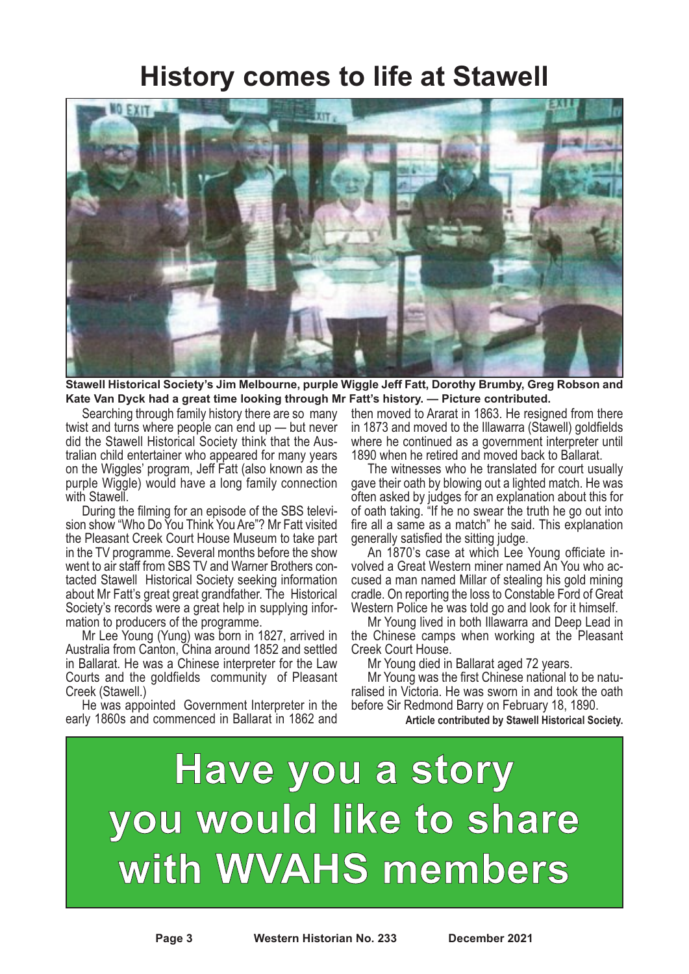#### **History comes to life at Stawell**



**Stawell Historical Society's Jim Melbourne, purple Wiggle Jeff Fatt, Dorothy Brumby, Greg Robson and Kate Van Dyck had a great time looking through Mr Fatt's history. — Picture contributed.**

Searching through family history there are so many twist and turns where people can end up — but never did the Stawell Historical Society think that the Australian child entertainer who appeared for many years on the Wiggles' program, Jeff Fatt (also known as the purple Wiggle) would have a long family connection

During the filming for an episode of the SBS television show "Who Do You Think You Are"? Mr Fatt visited the Pleasant Creek Court House Museum to take part in the TV programme. Several months before the show went to air staff from SBS TV and Warner Brothers contacted Stawell Historical Society seeking information about Mr Fatt's great great grandfather. The Historical Society's records were a great help in supplying information to producers of the programme.

Mr Lee Young (Yung) was born in 1827, arrived in Australia from Canton, China around 1852 and settled in Ballarat. He was a Chinese interpreter for the Law Courts and the goldfields community of Pleasant Creek (Stawell.)

He was appointed Government Interpreter in the early 1860s and commenced in Ballarat in 1862 and

then moved to Ararat in 1863. He resigned from there in 1873 and moved to the Illawarra (Stawell) goldfields where he continued as a government interpreter until 1890 when he retired and moved back to Ballarat.

The witnesses who he translated for court usually gave their oath by blowing out a lighted match. He was often asked by judges for an explanation about this for of oath taking. "If he no swear the truth he go out into fire all a same as a match" he said. This explanation generally satisfied the sitting judge.

An 1870's case at which Lee Young officiate involved a Great Western miner named An You who accused a man named Millar of stealing his gold mining cradle. On reporting the loss to Constable Ford of Great Western Police he was told go and look for it himself.

Mr Young lived in both Illawarra and Deep Lead in the Chinese camps when working at the Pleasant Creek Court House.

Mr Young died in Ballarat aged 72 years.

Mr Young was the first Chinese national to be naturalised in Victoria. He was sworn in and took the oath before Sir Redmond Barry on February 18, 1890.

**Article contributed by Stawell Historical Society.**

# **Have you a story you would like to share with WVAHS members**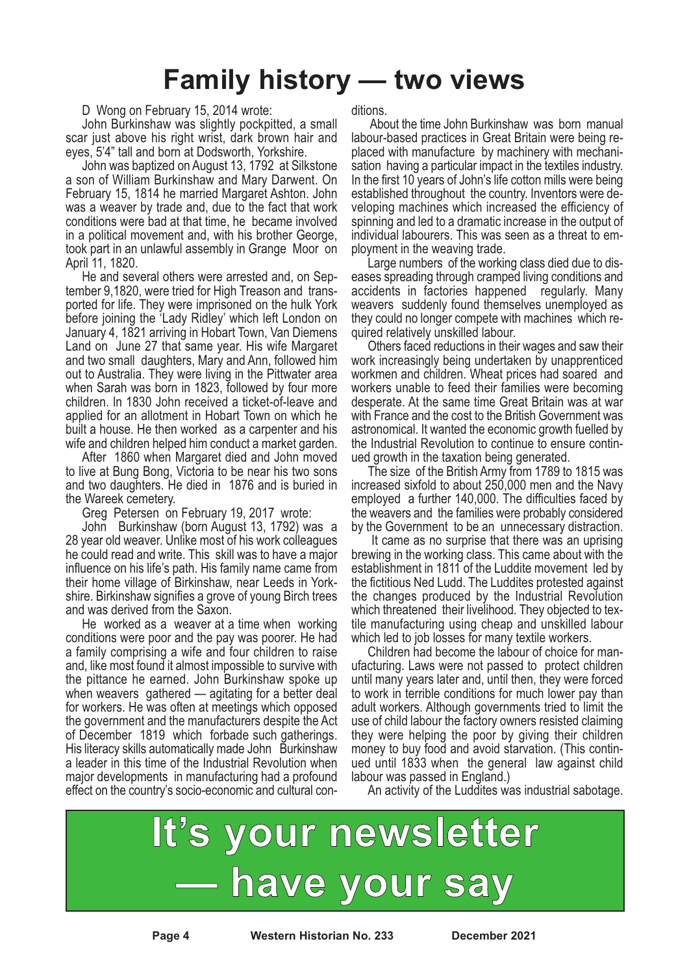### **Family history — two views**

D Wong on February 15, 2014 wrote:

John Burkinshaw was slightly pockpitted, a small scar just above his right wrist, dark brown hair and eyes, 5'4" tall and born at Dodsworth, Yorkshire.

John was baptized on August 13, 1792 at Silkstone a son of William Burkinshaw and Mary Darwent. On February 15, 1814 he married Margaret Ashton. John was a weaver by trade and, due to the fact that work conditions were bad at that time, he became involved in a political movement and, with his brother George, took part in an unlawful assembly in Grange Moor on April 11, 1820.

He and several others were arrested and, on September 9,1820, were tried for High Treason and transported for life. They were imprisoned on the hulk York before joining the 'Lady Ridley' which left London on January 4, 1821 arriving in Hobart Town, Van Diemens Land on June 27 that same year. His wife Margaret and two small daughters, Mary and Ann, followed him out to Australia. They were living in the Pittwater area when Sarah was born in 1823, followed by four more children. ln 1830 John received a ticket-of-leave and applied for an allotment in Hobart Town on which he built a house. He then worked as a carpenter and his wife and children helped him conduct a market garden.

After 1860 when Margaret died and John moved to live at Bung Bong, Victoria to be near his two sons and two daughters. He died in 1876 and is buried in the Wareek cemetery.

Greg Petersen on February 19, 2017 wrote:

John Burkinshaw (born August 13, 1792) was a 28 year old weaver. Unlike most of his work colleagues he could read and write. This skill was to have a major influence on his life's path. His family name came from their home village of Birkinshaw, near Leeds in Yorkshire. Birkinshaw signifies a grove of young Birch trees and was derived from the Saxon.

He worked as a weaver at a time when working conditions were poor and the pay was poorer. He had a family comprising a wife and four children to raise and, like most found it almost impossible to survive with the pittance he earned. John Burkinshaw spoke up when weavers gathered — agitating for a better deal for workers. He was often at meetings which opposed the government and the manufacturers despite the Act of December 1819 which forbade such gatherings. His literacy skills automatically made John Burkinshaw a leader in this time of the Industrial Revolution when major developments in manufacturing had a profound effect on the country's socio-economic and cultural conditions.

About the time John Burkinshaw was born manual labour-based practices in Great Britain were being replaced with manufacture by machinery with mechanisation having a particular impact in the textiles industry. In the first 10 years of John's life cotton mills were being established throughout the country. Inventors were developing machines which increased the efficiency of spinning and led to a dramatic increase in the output of individual labourers. This was seen as a threat to employment in the weaving trade.

Large numbers of the working class died due to diseases spreading through cramped living conditions and accidents in factories happened regularly. Many weavers suddenly found themselves unemployed as they could no longer compete with machines which required relatively unskilled labour.

Others faced reductions in their wages and saw their work increasingly being undertaken by unapprenticed workmen and children. Wheat prices had soared and workers unable to feed their families were becoming desperate. At the same time Great Britain was at war with France and the cost to the British Government was astronomical. It wanted the economic growth fuelled by the Industrial Revolution to continue to ensure continued growth in the taxation being generated.

The size of the British Army from 1789 to 1815 was increased sixfold to about 250,000 men and the Navy employed a further 140,000. The difficulties faced by the weavers and the families were probably considered by the Government to be an unnecessary distraction.

It came as no surprise that there was an uprising brewing in the working class. This came about with the establishment in 1811 of the Luddite movement led by the fictitious Ned Ludd. The Luddites protested against the changes produced by the Industrial Revolution which threatened their livelihood. They objected to textile manufacturing using cheap and unskilled labour which led to job losses for many textile workers.

Children had become the labour of choice for manufacturing. Laws were not passed to protect children until many years later and, until then, they were forced to work in terrible conditions for much lower pay than adult workers. Although governments tried to limit the use of child labour the factory owners resisted claiming they were helping the poor by giving their children money to buy food and avoid starvation. (This contin- ued until <sup>1833</sup> when the general law against child labour was passed in England.)

An activity of the Luddites was industrial sabotage.



**Page 4 Western Historian No. 233 December 2021**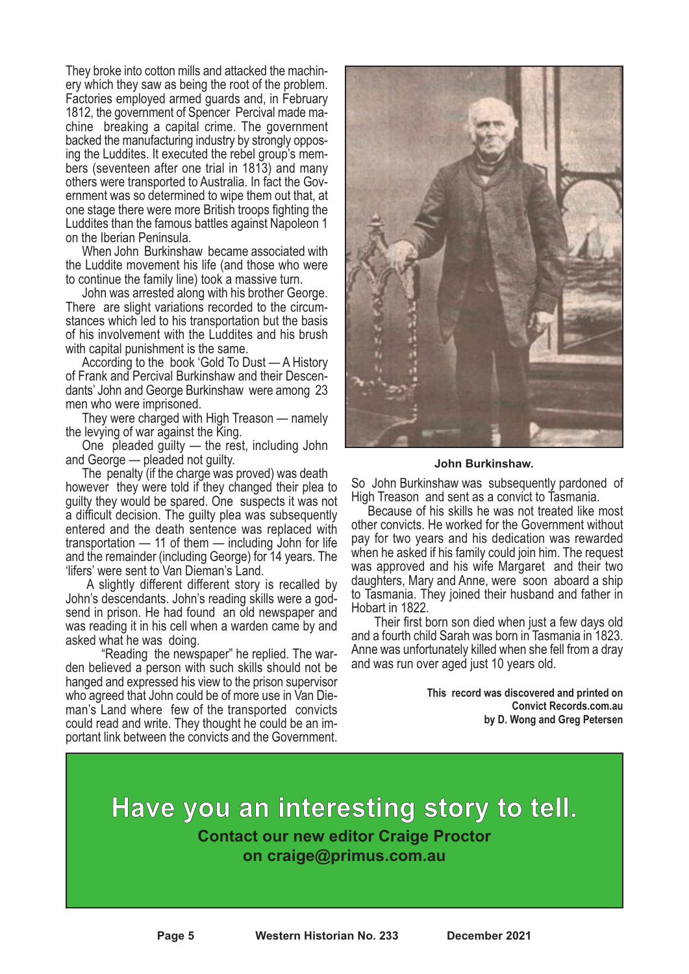They broke into cotton mills and attacked the machin- ery which they saw as being the root of the problem. Factories employed armed guards and, in February 1812, the government of Spencer Percival made ma-<br>chine breaking a capital crime. The government<br>backed the manufacturing industry by strongly opposing the Luddites. It executed the rebel group's mem-<br>bers (seventeen after one trial in 1813) and many others were transported to Australia. In fact the Gov- ernment was so determined to wipe them out that, at one stage there were more British troops fighting the Luddites than the famous battles against Napoleon 1 on the Iberian Peninsula.

When John Burkinshaw became associated with the Luddite movement his life (and those who were to continue the family line) took a massive turn.

John was arrested along with his brother George. There are slight variations recorded to the circumstances which led to his transportation but the basis of his involvement with the Luddites and his brush with capital punishment is the same.

According to the book 'Gold To Dust — A History of Frank and Percival Burkinshaw and their Descendants' John and George Burkinshaw were among 23 men who were imprisoned.

They were charged with High Treason — namely the levying of war against the King.

One pleaded guilty — the rest, including John and George — pleaded not guilty.

The penalty (if the charge was proved) was death however they were told if they changed their plea to guilty they would be spared. One suspects it was not a difficult decision. The guilty plea was subsequently entered and the death sentence was replaced with transportation — 11 of them — including John for life and the remainder (including George) for 14 years. The 'lifers' were sent to Van Dieman's Land.

A slightly different different story is recalled by John's descendants. John's reading skills were a godsend in prison. He had found an old newspaper and was reading it in his cell when a warden came by and asked what he was doing.

"Reading the newspaper" he replied. The warden believed a person with such skills should not be hanged and expressed his view to the prison supervisor who agreed that John could be of more use in Van Die- man's Land where few of the transported convicts could read and write. They thought he could be an im- portant link between the convicts and the Government.



#### **John Burkinshaw.**

So John Burkinshaw was subsequently pardoned of High Treason and sent as a convict to Tasmania.

Because of his skills he was not treated like most other convicts. He worked for the Government without pay for two years and his dedication was rewarded when he asked if his family could join him. The request was approved and his wife Margaret and their two daughters, Mary and Anne, were soon aboard a ship to Tasmania. They joined their husband and father in Hobart in 1822.

Their first born son died when just a few days old and a fourth child Sarah was born in Tasmania in 1823. Anne was unfortunately killed when she fell from a dray and was run over aged just 10 years old.

> **This record was discovered and printed on Convict Records.com.au by D. Wong and Greg Petersen**

**Have you an interesting story to tell. Contact our new editor Craige Proctor on craige@primus.com.au**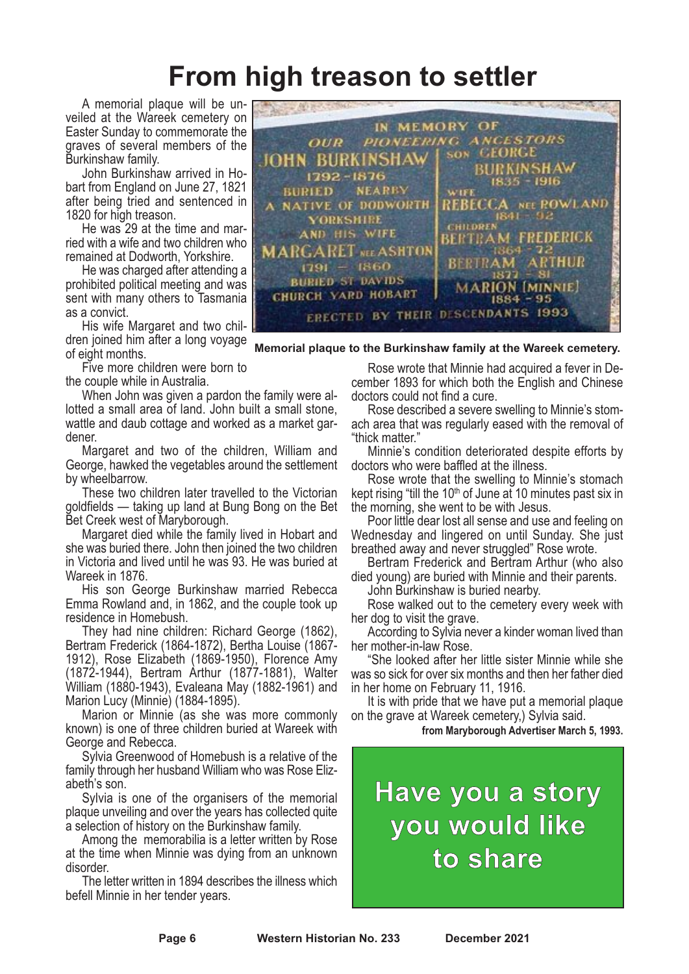### **From high treason to settler**

A memorial plaque will be unveiled at the Wareek cemetery on Easter Sunday to commemorate the graves of several members of the Burkinshaw family.

John Burkinshaw arrived in Hobart from England on June 27, 1821 after being tried and sentenced in 1820 for high treason.

He was 29 at the time and married with a wife and two children who remained at Dodworth, Yorkshire.

He was charged after attending a prohibited political meeting and was sent with many others to Tasmania as a convict.

His wife Margaret and two children joined him after a long voyage of eight months.

Five more children were born to the couple while in Australia.

When John was given a pardon the family were allotted a small area of land. John built a small stone, wattle and daub cottage and worked as a market gardener.

Margaret and two of the children, William and George, hawked the vegetables around the settlement by wheelbarrow.

These two children later travelled to the Victorian goldfields — taking up land at Bung Bong on the Bet Bet Creek west of Maryborough.

Margaret died while the family lived in Hobart and she was buried there. John then joined the two children in Victoria and lived until he was 93. He was buried at Wareek in 1876.

His son George Burkinshaw married Rebecca Emma Rowland and, in 1862, and the couple took up residence in Homebush.

They had nine children: Richard George (1862), Bertram Frederick (1864-1872), Bertha Louise (1867- 1912), Rose Elizabeth (1869-1950), Florence Amy (1872-1944), Bertram Arthur (1877-1881), Walter William (1880-1943), Evaleana May (1882-1961) and Marion Lucy (Minnie) (1884-1895).

Marion or Minnie (as she was more commonly known) is one of three children buried at Wareek with George and Rebecca.

Sylvia Greenwood of Homebush is a relative of the family through her husband William who was Rose Elizabeth's son.

Sylvia is one of the organisers of the memorial plaque unveiling and over the years has collected quite a selection of history on the Burkinshaw family.

Among the memorabilia is a letter written by Rose at the time when Minnie was dying from an unknown disorder.

The letter written in 1894 describes the illness which befell Minnie in her tender years.



**Memorial plaque to the Burkinshaw family at the Wareek cemetery.**

Rose wrote that Minnie had acquired <sup>a</sup> fever in De- cember <sup>1893</sup> for which both the English and Chinese

doctors could not find a cure.<br>Rose described a severe swelling to Minnie's stom-<br>ach area that was regularly eased with the removal of<br>"thick matter."<br>Minnie's condition deteriorated despite efforts by<br>doctors who were ba

Rose wrote that the swelling to Minnie's stomach kept rising "till the  $10<sup>th</sup>$  of June at 10 minutes past six in the morning, she went to be with Jesus.

Poor little dear lost all sense and use and feeling on Wednesday and lingered on until Sunday. She just

breathed away and never struggled" Rose wrote. Bertram Frederick and Bertram Arthur (who also died young) are buried with Minnie and their parents. John Burkinshaw is buried nearby. Rose walked out to the cemetery every week with

her dog to visit the grave. According to Sylvia never <sup>a</sup> kinder woman lived than

her mother-in-law Rose. "She looked after her little sister Minnie while she was so sick for over six months and then her father died in her home on February 11, 1916.<br>It is with pride that we have put a memorial plaque

on the grave at Wareek cemetery,) Sylvia said.

**from Maryborough Advertiser March 5, 1993.**

**Have you a story you would like to share**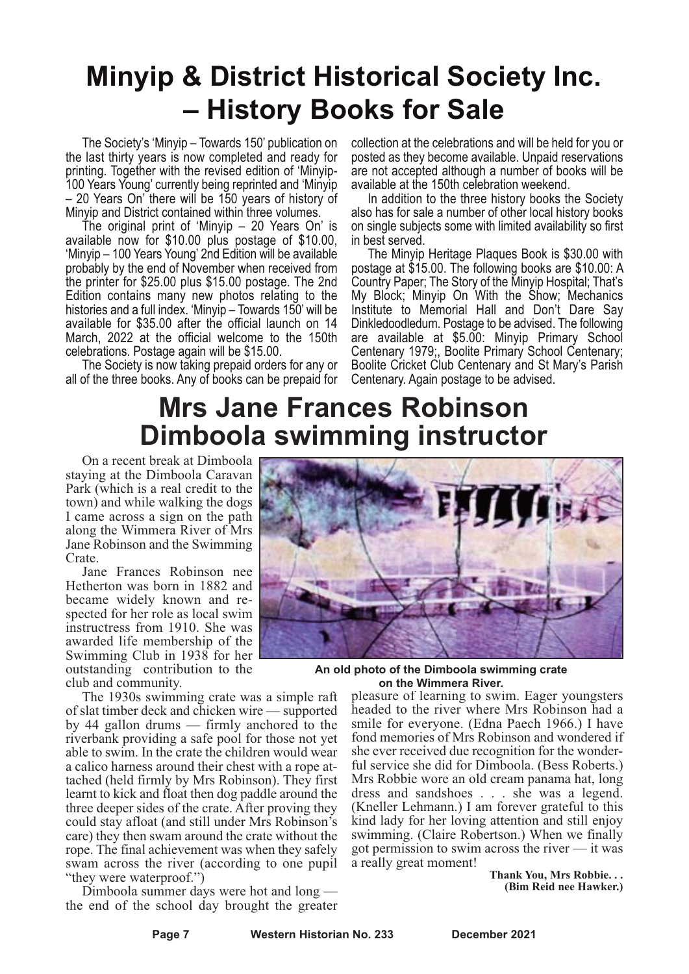### **Minyip & District Historical Society Inc. – History Books for Sale**

The Society's 'Minyip – Towards 150' publication on the last thirty years is now completed and ready for printing. Together with the revised edition of 'Minyip-100 Years Young' currently being reprinted and 'Minyip – 20 Years On' there will be 150 years of history of Minyip and District contained within three volumes.

The original print of 'Minyip – 20 Years On' is available now for \$10.00 plus postage of \$10.00, 'Minyip – 100 Years Young' 2nd Edition will be available probably by the end of November when received from the printer for \$25.00 plus \$15.00 postage. The 2nd Edition contains many new photos relating to the histories and a full index. 'Minyip – Towards 150' will be available for \$35.00 after the official launch on 14 March, 2022 at the official welcome to the 150th celebrations. Postage again will be \$15.00.

The Society is now taking prepaid orders for any or all of the three books. Any of books can be prepaid for collection at the celebrations and will be held for you or posted as they become available. Unpaid reservations are not accepted although a number of books will be available at the 150th celebration weekend.

In addition to the three history books the Society also has for sale a number of other local history books on single subjects some with limited availability so first in best served.

The Minyip Heritage Plaques Book is \$30.00 with postage at \$15.00. The following books are \$10.00: A Country Paper; The Story of the Minyip Hospital; That's My Block; Minyip On With the Show; Mechanics Institute to Memorial Hall and Don't Dare Say Dinkledoodledum. Postage to be advised. The following are available at \$5.00: Minyip Primary School Centenary 1979;, Boolite Primary School Centenary; Boolite Cricket Club Centenary and St Mary's Parish Centenary. Again postage to be advised.

### **Mrs Jane Frances Robinson Dimboola swimming instructor**

On a recent break at Dimboola staying at the Dimboola Caravan Park (which is a real credit to the town) and while walking the dogs I came across a sign on the path along the Wimmera River of Mrs Jane Robinson and the Swimming Crate.

Jane Frances Robinson nee Hetherton was born in 1882 and became widely known and respected for her role as local swim instructress from 1910. She was awarded life membership of the Swimming Club in 1938 for her outstanding contribution to the club and community.

The 1930s swimming crate was a simple raft of slat timber deck and chicken wire — supported by 44 gallon drums — firmly anchored to the riverbank providing a safe pool for those not yet able to swim. In the crate the children would wear<br>a calico harness around their chest with a rope attached (held firmly by Mrs Robinson). They first learnt to kick and float then dog paddle around the three deeper sides of the crate. After proving they could stay afloat (and still under Mrs Robinson's care) they then swam around the crate without the rope. The final achievement was when they safely swam across the river (according to one pupil "they were waterproof.")

Dimboola summer days were hot and long the end of the school day brought the greater



**An old photo of the Dimboola swimming crate on the Wimmera River.**

pleasure of learning to swim. Eager youngsters headed to the river where Mrs Robinson had a smile for everyone. (Edna Paech 1966.) I have fond memories of Mrs Robinson and wondered if she ever received due recognition for the wonderful service she did for Dimboola. (Bess Roberts.) Mrs Robbie wore an old cream panama hat, long dress and sandshoes . . . she was a legend. (Kneller Lehmann.) I am forever grateful to this kind lady for her loving attention and still enjoy swimming. (Claire Robertson.) When we finally got permission to swim across the river — it was a really great moment!

**Thank You, Mrs Robbie. . . (Bim Reid nee Hawker.)**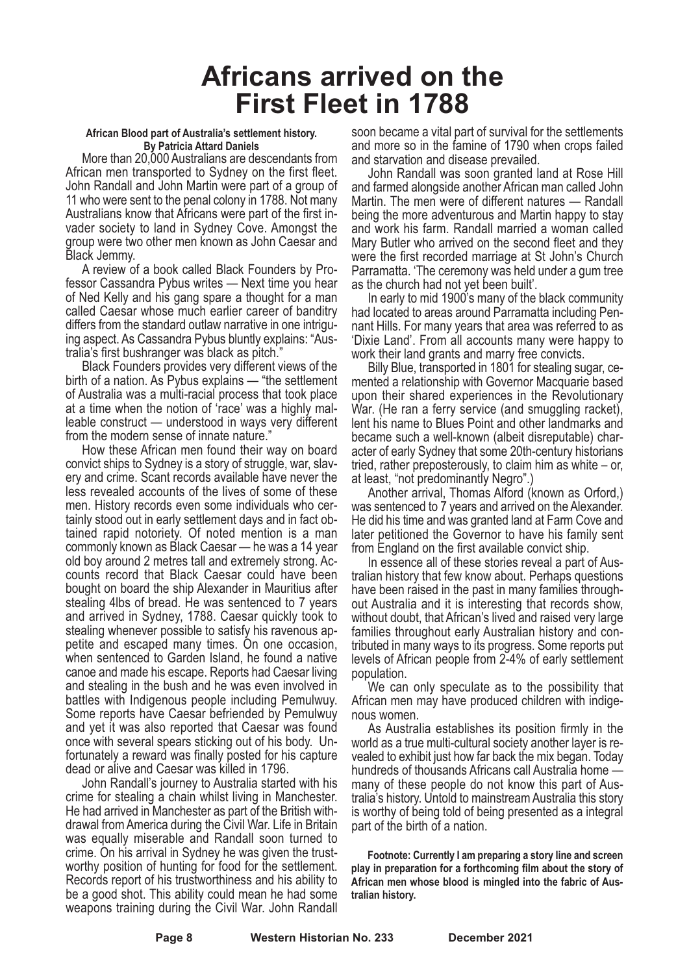### **Africans arrived on the First Fleet in 1788**

#### **African Blood part of Australia's settlement history. By Patricia Attard Daniels**

More than 20,000 Australians are descendants from African men transported to Sydney on the first fleet. John Randall and John Martin were part of <sup>a</sup> group of 11 who were sent to the penal colony in 1788. Not many Australians know that Africans were part of the first invader society to land in Sydney Cove. Amongst the group were two other men known as John Caesar and Black Jemmy.

A review of a book called Black Founders by Professor Cassandra Pybus writes — Next time you hear of Ned Kelly and his gang spare a thought for a man called Caesar whose much earlier career of banditry differs from the standard outlaw narrative in one intriguing aspect. As Cassandra Pybus bluntly explains: "Australia's first bushranger was black as pitch."

Black Founders provides very different views of the birth of a nation. As Pybus explains — "the settlement of Australia was a multi-racial process that took place at a time when the notion of 'race' was a highly malleable construct — understood in ways very different from the modern sense of innate nature."

How these African men found their way on board convict ships to Sydney is a story of struggle, war, slavery and crime. Scant records available have never the less revealed accounts of the lives of some of these men. History records even some individuals who certainly stood out in early settlement days and in fact obtained rapid notoriety. Of noted mention is a man commonly known as Black Caesar — he was a 14 year old boy around <sup>2</sup> metres tall and extremely strong. Ac- counts record that Black Caesar could have been bought on board the ship Alexander in Mauritius after stealing 4lbs of bread. He was sentenced to 7 years and arrived in Sydney, 1788. Caesar quickly took to stealing whenever possible to satisfy his ravenous appetite and escaped many times. On one occasion, when sentenced to Garden Island, he found a native canoe and made his escape. Reports had Caesar living and stealing in the bush and he was even involved in battles with Indigenous people including Pemulwuy. Some reports have Caesar befriended by Pemulwuy and yet it was also reported that Caesar was found once with several spears sticking out of his body. Un- fortunately <sup>a</sup> reward was finally posted for his capture dead or alive and Caesar was killed in 1796.

John Randall's journey to Australia started with his crime for stealing a chain whilst living in Manchester. He had arrived in Manchester as part of the British withdrawal fromAmerica during the Civil War. Life in Britain was equally miserable and Randall soon turned to crime. On his arrival in Sydney he was given the trustworthy position of hunting for food for the settlement. Records report of his trustworthiness and his ability to be a good shot. This ability could mean he had some weapons training during the Civil War. John Randall

soon became a vital part of survival for the settlements and more so in the famine of 1790 when crops failed

John Randall was soon granted land at Rose Hill and farmed alongside another African man called John Martin. The men were of different natures — Randall being the more adventurous and Martin happy to stay and work his farm. Randall married a woman called Mary Butler who arrived on the second fleet and they were the first recorded marriage at St John's Church Parramatta. 'The ceremony was held under a gum tree as the church had not yet been built'.

In early to mid 1900's many of the black community had located to areas around Parramatta including Pennant Hills. For many years that area was referred to as 'Dixie Land'. From all accounts many were happy to work their land grants and marry free convicts.

Billy Blue, transported in <sup>1801</sup> for stealing sugar, ce- mented <sup>a</sup> relationship with Governor Macquarie based upon their shared experiences in the Revolutionary War. (He ran a ferry service (and smuggling racket), lent his name to Blues Point and other landmarks and became such a well-known (albeit disreputable) character of early Sydney that some 20th-century historians tried, rather preposterously, to claim him as white – or, at least, "not predominantly Negro".)

Another arrival, Thomas Alford (known as Orford,) was sentenced to 7 years and arrived on the Alexander. He did his time and was granted land at Farm Cove and later petitioned the Governor to have his family sent from England on the first available convict ship.

In essence all of these stories reveal a part of Australian history that few know about. Perhaps questions have been raised in the past in many families throughout Australia and it is interesting that records show, without doubt, that African's lived and raised very large families throughout early Australian history and con- tributed in many ways to its progress. Some reports put levels of African people from 2-4% of early settlement

population. We can only speculate as to the possibility that African men may have produced children with indige- nous women. As Australia establishes its position firmly in the

world as <sup>a</sup> true multi-cultural society another layer is re- vealed to exhibit just how far back the mix began. Today hundreds of thousands Africans call Australia home many of these people do not know this part of Australia's history. Untold to mainstreamAustralia this story is worthy of being told of being presented as a integral part of the birth of a nation.

**Footnote: Currently I am preparing a story line and screen play in preparation for a forthcoming film about the story of African men whose blood is mingled into the fabric of Australian history.**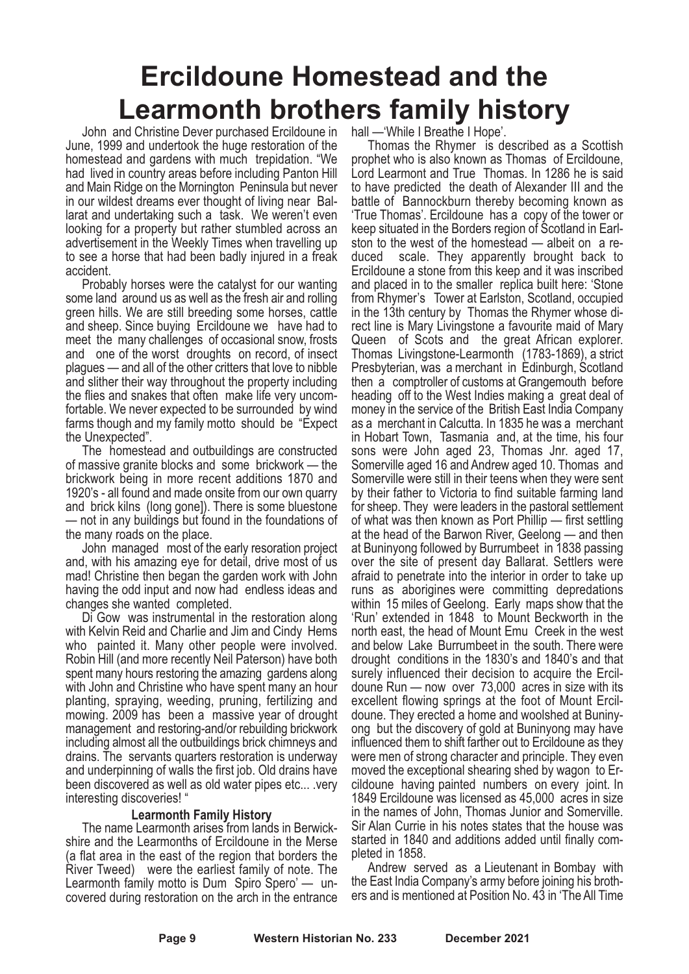## **Ercildoune Homestead and the Learmonth brothers family history**

John and Christine Dever purchased Ercildoune in June, 1999 and undertook the huge restoration of the homestead and gardens with much trepidation. "We had lived in country areas before including Panton Hill and Main Ridge on the Mornington Peninsula but never in our wildest dreams ever thought of living near Ballarat and undertaking such a task. We weren't even looking for a property but rather stumbled across an advertisement in the Weekly Times when travelling up to see a horse that had been badly injured in a freak accident.

Probably horses were the catalyst for our wanting some land around us as well as the fresh air and rolling green hills. We are still breeding some horses, cattle and sheep. Since buying Ercildoune we have had to meet the many challenges of occasional snow, frosts and one of the worst droughts on record, of insect plagues — and all of the other critters that love to nibble and slither their way throughout the property including the flies and snakes that often make life very uncomfortable. We never expected to be surrounded by wind farms though and my family motto should be "Expect the Unexpected".

The homestead and outbuildings are constructed of massive granite blocks and some brickwork — the brickwork being in more recent additions 1870 and 1920's - all found and made onsite from our own quarry and brick kilns (long gone]). There is some bluestone — not in any buildings but found in the foundations of the many roads on the place.

John managed most of the early resoration project and, with his amazing eye for detail, drive most of us mad! Christine then began the garden work with John having the odd input and now had endless ideas and changes she wanted completed.

Di Gow was instrumental in the restoration along with Kelvin Reid and Charlie and Jim and Cindy Hems who painted it. Many other people were involved. Robin Hill (and more recently Neil Paterson) have both spent many hours restoring the amazing gardens along with John and Christine who have spent many an hour planting, spraying, weeding, pruning, fertilizing and mowing. 2009 has been a massive year of drought management and restoring-and/or rebuilding brickwork including almost all the outbuildings brick chimneys and drains. The servants quarters restoration is underway and underpinning of walls the first job. Old drains have been discovered as well as old water pipes etc... .very interesting discoveries! "

#### **Learmonth Family History**

The name Learmonth arises from lands in Berwickshire and the Learmonths of Ercildoune in the Merse (a flat area in the east of the region that borders the River Tweed) were the earliest family of note. The Learmonth family motto is Dum Spiro Spero' — uncovered during restoration on the arch in the entrance

Thomas the Rhymer is described as a Scottish prophet who is also known as Thomas of Ercildoune. Lord Learmont and True Thomas. In 1286 he is said to have predicted the death of Alexander III and the battle of Bannockburn thereby becoming known as 'True Thomas'. Ercildoune has a copy of the tower or keep situated in the Borders region of Scotland in Earlston to the west of the homestead — albeit on a reduced scale. They apparently brought back to Ercildoune a stone from this keep and it was inscribed and placed in to the smaller replica built here: 'Stone from Rhymer's Tower at Earlston, Scotland, occupied in the 13th century by Thomas the Rhymer whose direct line is Mary Livingstone a favourite maid of Mary Queen of Scots and the great African explorer. Thomas Livingstone-Learmonth (1783-1869), a strict Presbyterian, was a merchant in Edinburgh, Scotland then a comptroller of customs at Grangemouth before heading off to the West Indies making a great deal of money in the service of the British East India Company as a merchant in Calcutta. In 1835 he was a merchant in Hobart Town, Tasmania and, at the time, his four sons were John aged 23, Thomas Jnr. aged 17, Somerville aged 16 and Andrew aged 10. Thomas and Somerville were still in their teens when they were sent by their father to Victoria to find suitable farming land for sheep. They were leaders in the pastoral settlement of what was then known as Port Phillip — first settling at the head of the Barwon River, Geelong — and then at Buninyong followed by Burrumbeet in 1838 passing over the site of present day Ballarat. Settlers were afraid to penetrate into the interior in order to take up runs as aborigines were committing depredations within 15 miles of Geelong. Early maps show that the 'Run' extended in 1848 to Mount Beckworth in the north east, the head of Mount Emu Creek in the west and below Lake Burrumbeet in the south. There were drought conditions in the 1830's and 1840's and that surely influenced their decision to acquire the Ercildoune Run — now over 73,000 acres in size with its excellent flowing springs at the foot of Mount Ercildoune. They erected a home and woolshed at Buninyong but the discovery of gold at Buninyong may have influenced them to shift farther out to Ercildoune as they were men of strong character and principle. They even moved the exceptional shearing shed by wagon to Ercildoune having painted numbers on every joint. In 1849 Ercildoune was licensed as 45,000 acres in size in the names of John, Thomas Junior and Somerville. Sir Alan Currie in his notes states that the house was started in 1840 and additions added until finally completed in 1858.

Andrew served as a Lieutenant in Bombay with the East India Company's army before joining his brothers and is mentioned at Position No. 43 in 'The All Time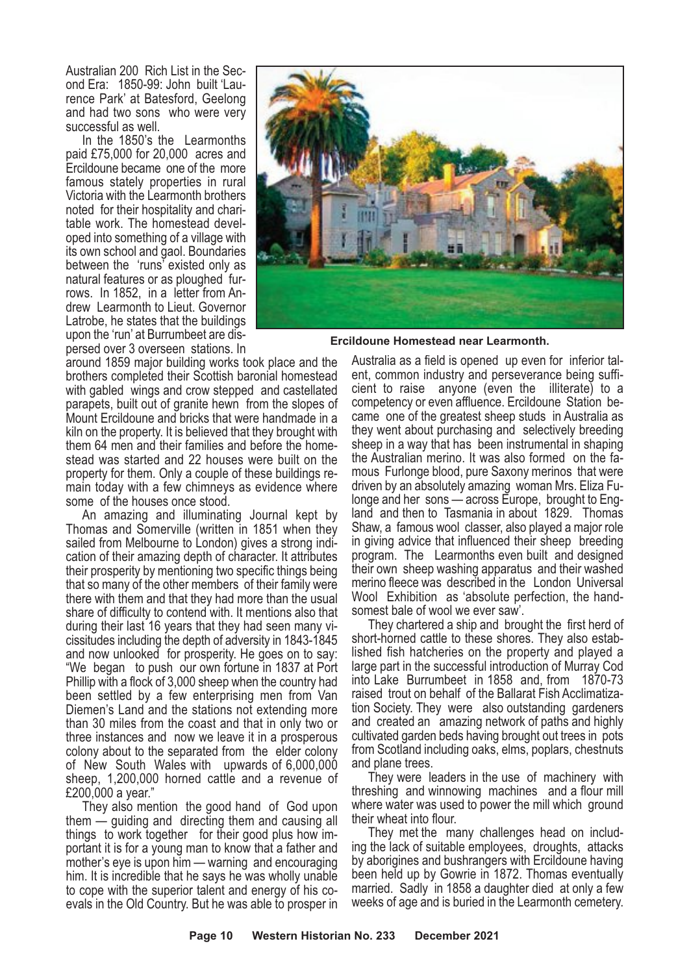Australian <sup>200</sup> Rich List in the Sec- ond Era: 1850-99: John built 'Lau- rence Park' at Batesford, Geelong and had two sons who were very

successful as well. In the 1850's the Learmonths paid £75,000 for 20,000 acres and Ercildoune became one of the more famous stately properties in rural Victoria with the Learmonth brothers noted for their hospitality and chari-<br>table work. The homestead devel-<br>oped into something of a village with its own school and gaol. Boundaries between the 'runs' existed only as natural features or as ploughed furrows. In 1852, in a letter from Andrew Learmonth to Lieut. Governor Latrobe, he states that the buildings upon the 'run' at Burrumbeet are dispersed over 3 overseen stations. In

around 1859 major building works took place and the brothers completed their Scottish baronial homestead with gabled wings and crow stepped and castellated parapets, built out of granite hewn from the slopes of Mount Ercildoune and bricks that were handmade in a kiln on the property. It is believed that they brought with them 64 men and their families and before the homestead was started and 22 houses were built on the property for them. Only a couple of these buildings remain today with a few chimneys as evidence where some of the houses once stood.

An amazing and illuminating Journal kept by Thomas and Somerville (written in 1851 when they sailed from Melbourne to London) gives a strong indication of their amazing depth of character. It attributes their prosperity by mentioning two specific things being that so many of the other members of their family were there with them and that they had more than the usual share of difficulty to contend with. It mentions also that during their last 16 years that they had seen many vicissitudes including the depth of adversity in 1843-1845 and now unlooked for prosperity. He goes on to say: "We began to push our own fortune in 1837 at Port Phillip with a flock of 3,000 sheep when the country had been settled by a few enterprising men from Van Diemen's Land and the stations not extending more than 30 miles from the coast and that in only two or three instances and now we leave it in a prosperous colony about to the separated from the elder colony of New South Wales with upwards of 6,000,000 sheep, 1,200,000 horned cattle and a revenue of £200,000 a year."

They also mention the good hand of God upon them — guiding and directing them and causing all things to work together for their good plus how important it is for a young man to know that a father and mother's eye is upon him — warning and encouraging him. It is incredible that he says he was wholly unable to cope with the superior talent and energy of his co- evals in the Old Country. But he was able to prosper in



**Ercildoune Homestead near Learmonth.**

Australia as a field is opened up even for inferior talent, common industry and perseverance being sufficient to raise anyone (even the illiterate) to a competency or even affluence. Ercildoune Station became one of the greatest sheep studs in Australia as they went about purchasing and selectively breeding sheep in a way that has been instrumental in shaping the Australian merino. It was also formed on the famous Furlonge blood, pure Saxony merinos that were driven by an absolutely amazing woman Mrs. Eliza Fulonge and her sons — across Europe, brought to England and then to Tasmania in about 1829. Thomas Shaw, a famous wool classer, also played a major role in giving advice that influenced their sheep breeding program. The Learmonths even built and designed their own sheep washing apparatus and their washed merino fleece was described in the London Universal Wool Exhibition as 'absolute perfection, the handsomest bale of wool we ever saw'.

They chartered a ship and brought the first herd of short-horned cattle to these shores. They also established fish hatcheries on the property and played a large part in the successful introduction of Murray Cod into Lake Burrumbeet in 1858 and, from 1870-73 raised trout on behalf of the Ballarat Fish Acclimatization Society. They were also outstanding gardeners and created an amazing network of paths and highly cultivated garden beds having brought out trees in pots from Scotland including oaks, elms, poplars, chestnuts

and plane trees. They were leaders in the use of machinery with threshing and winnowing machines and a flour mill where water was used to power the mill which ground

their wheat into flour. They met the many challenges head on includ- ing the lack of suitable employees, droughts, attacks by aborigines and bushrangers with Ercildoune having been held up by Gowrie in 1872. Thomas eventually married. Sadly in 1858 a daughter died at only a few weeks of age and is buried in the Learmonth cemetery.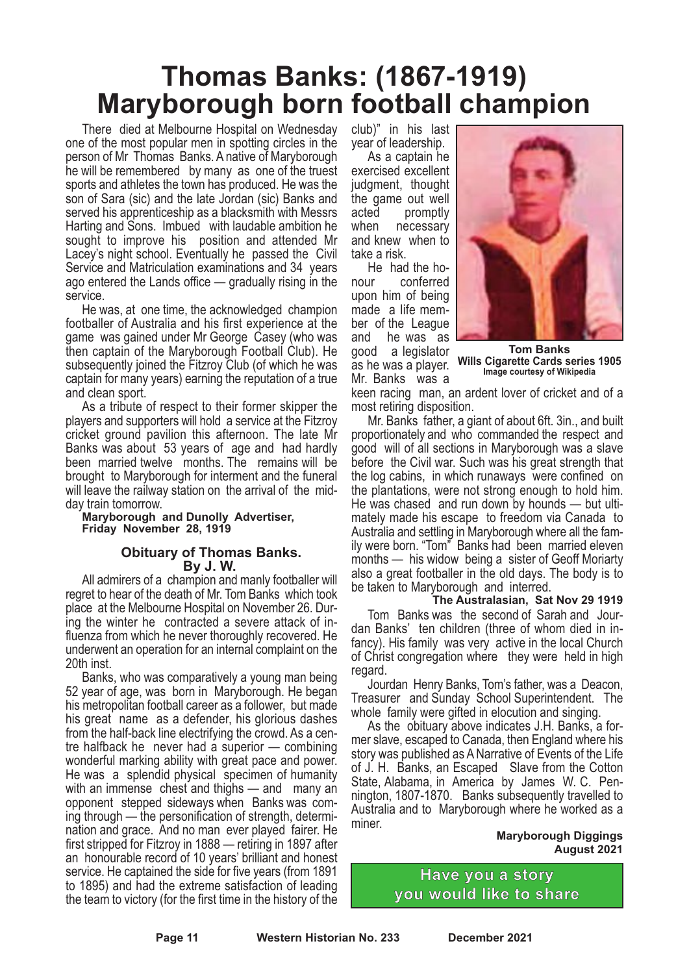### **Thomas Banks: (1867-1919) Maryborough born football champion**

There died at Melbourne Hospital on Wednesday one of the most popular men in spotting circles in the person of Mr Thomas Banks. A native of Maryborough he will be remembered by many as one of the truest sports and athletes the town has produced. He was the son of Sara (sic) and the late Jordan (sic) Banks and served his apprenticeship as a blacksmith with Messrs Harting and Sons. Imbued with laudable ambition he sought to improve his position and attended Mr Lacey's night school. Eventually he passed the Civil Service and Matriculation examinations and 34 years ago entered the Lands office — gradually rising in the

He was, at one time, the acknowledged champion footballer of Australia and his first experience at the game was gained under Mr George Casey (who was then captain of the Maryborough Football Club). He subsequently joined the Fitzroy Club (of which he was captain for many years) earning the reputation of a true

and clean sport. As <sup>a</sup> tribute of respect to their former skipper the players and supporters will hold a service at the Fitzroy cricket ground pavilion this afternoon. The late Mr Banks was about 53 years of age and had hardly been married twelve months. The remains will be brought to Maryborough for interment and the funeral will leave the railway station on the arrival of the mid- day train tomorrow.

**Maryborough and Dunolly Advertiser, Friday November 28, 1919**

#### **Obituary of Thomas Banks. By J. W.**

All admirers of a champion and manly footballer will regret to hear of the death of Mr. Tom Banks which took place at the Melbourne Hospital on November 26. Dur- ing the winter he contracted <sup>a</sup> severe attack of in- fluenza from which he never thoroughly recovered. He underwent an operation for an internal complaint on the 20th inst. Banks, who was comparatively <sup>a</sup> young man being

52 year of age, was born in Maryborough. He began his metropolitan football career as a follower, but made his great name as a defender, his glorious dashes from the half-back line electrifying the crowd. As <sup>a</sup> cen- tre halfback he never had <sup>a</sup> superior — combining wonderful marking ability with great pace and power. He was a splendid physical specimen of humanity with an immense chest and thighs — and many an opponent stepped sideways when Banks was coming through — the personification of strength, determination and grace. And no man ever played fairer. He first stripped for Fitzroy in 1888 — retiring in 1897 after an honourable record of 10 years' brilliant and honest service. He captained the side for five years (from 1891 to 1895) and had the extreme satisfaction of leading the team to victory (for the first time in the history of the

club)" in his last year of leadership. As <sup>a</sup> captain he

exercised excellent judgment, thought the game out well acted promptly when necessary and knew when to<br>take a risk

He had the ho-<br>nour conferred upon him of being made a life mem-<br>ber of the League<br>and he was as he was as good a legislator as he was <sup>a</sup> player. Mr. Banks was <sup>a</sup>



**Tom Banks Wills Cigarette Cards series 1905 Image courtesy of Wikipedia**

keen racing man, an ardent lover of cricket and of a

Mr. Banks father, a giant of about 6ft. 3in., and built proportionately and who commanded the respect and good will of all sections in Maryborough was a slave before the Civil war. Such was his great strength that the log cabins, in which runaways were confined on the plantations, were not strong enough to hold him. He was chased and run down by hounds — but ulti-<br>mately made his escape to freedom via Canada to Australia and settling in Maryborough where all the family were born. "Tom" Banks had been married eleven months — his widow being a sister of Geoff Moriarty also a great footballer in the old days. The body is to be taken to Maryborough and interred.

#### **The Australasian, Sat Nov 29 1919** Tom Banks was the second of Sarah and Jour- dan Banks' ten children (three of whom died in in- fancy). His family was very active in the local Church of Christ congregation where they were held in high

regard. Jourdan Henry Banks, Tom's father, was <sup>a</sup> Deacon, Treasurer and Sunday School Superintendent. The

whole family were gifted in elocution and singing.<br>As the obituary above indicates J.H. Banks, a for-<br>mer slave, escaped to Canada, then England where his story was published as ANarrative of Events of the Life of J. H. Banks, an Escaped Slave from the Cotton State, Alabama, in America by James W. C. Pennington, 1807-1870. Banks subsequently travelled to Australia and to Maryborough where he worked as a miner.

**Maryborough Diggings August 2021**

**Have you a story you would like to share**